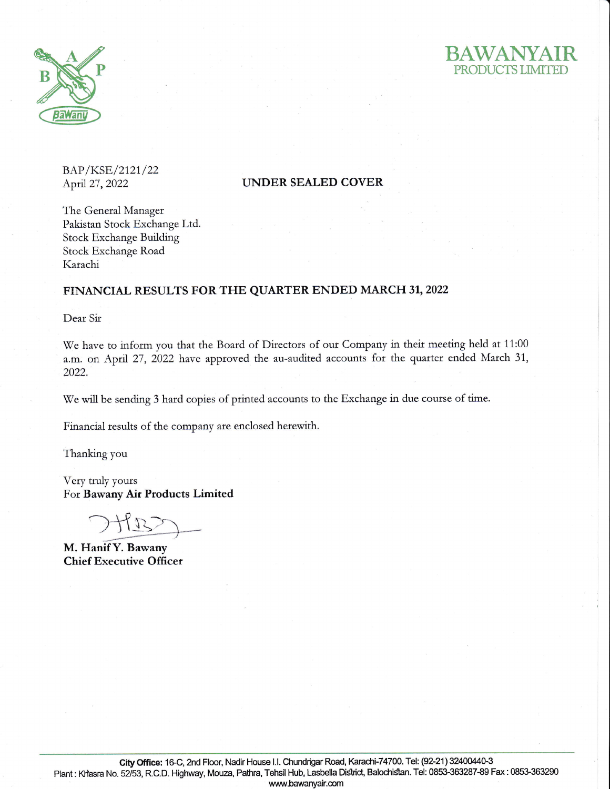



BAP/KSE/2121/22

## April 27, 2022 UNDER SEALED COVER

The General Manager Pakistan Stock Exchange Ltd. Stock Exchange Building Stock Exchange Road Karachi

## FINANCIAL RESULTS FOR THE QUARTER ENDED MARCH 3I,2022

Dear Sir

We have to inform you that the Board of Directors of our Company in their meeting held at 11:00 a.m. on April 27, 2022 have approved the au-audited accounts for the quarter ended March 31, 2022.

We will be sending 3 hard copies of printed accounts to the Exchange in due course of time.

Financial tesults of the company are enclosed herewtth.

Thanking you

Very truly yours For Bawany Air Products Limited

'>tt

M. Hanif Y. Bawany Chief Executive Officer